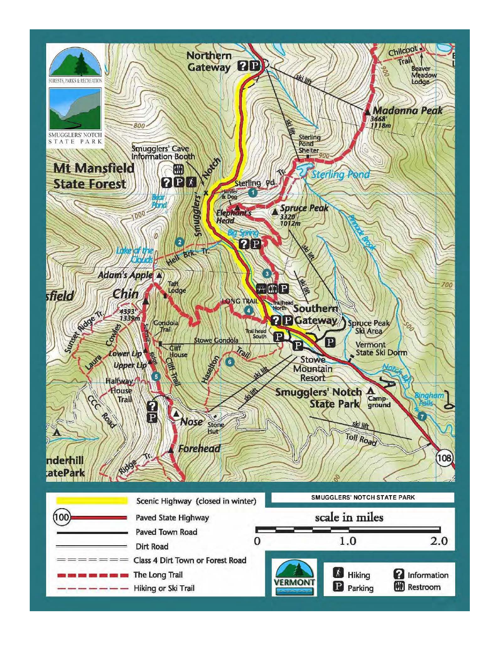